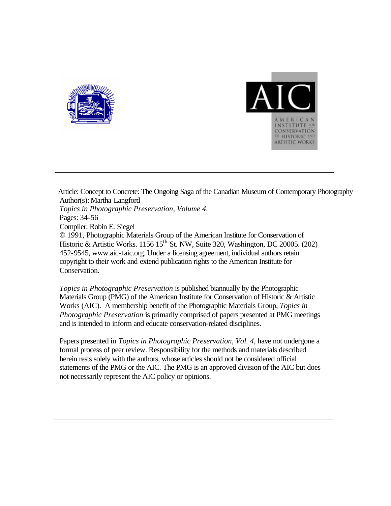



Article: Concept to Concrete: The Ongoing Saga of the Canadian Museum of Contemporary Photography Author(s): Martha Langford *Topics in Photographic Preservation, Volume 4*. Pages: 34-56 Compiler: Robin E. Siegel © 1991, Photographic Materials Group of the American Institute for Conservation of Historic & Artistic Works. 1156  $15<sup>th</sup>$  St. NW, Suite 320, Washington, DC 20005. (202) 452-9545, www.aic-faic.org. Under a licensing agreement, individual authors retain copyright to their work and extend publication rights to the American Institute for Conservation.

*Topics in Photographic Preservation* is published biannually by the Photographic Materials Group (PMG) of the American Institute for Conservation of Historic & Artistic Works (AIC). A membership benefit of the Photographic Materials Group, *Topics in Photographic Preservation* is primarily comprised of papers presented at PMG meetings and is intended to inform and educate conservation-related disciplines.

Papers presented in *Topics in Photographic Preservation, Vol. 4*, have not undergone a formal process of peer review. Responsibility for the methods and materials described herein rests solely with the authors, whose articles should not be considered official statements of the PMG or the AIC. The PMG is an approved division of the AIC but does not necessarily represent the AIC policy or opinions.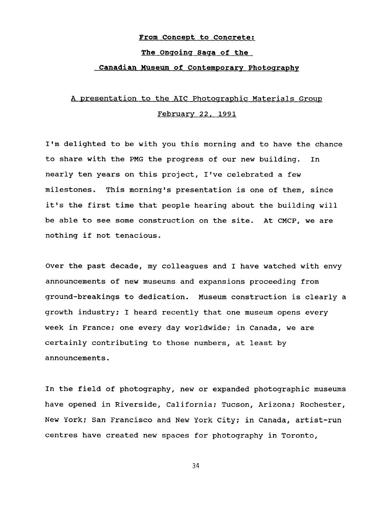### **From Concept to Concrete:**

## **The Onqoinq Saqa of the**

## **Canadian Museum of Contemporary Photoqraphv**

# A presentation to the AIC Photographic Materials Group February 22, 1991

I'm delighted to be with you this morning and to have the chance to share with the PMG the progress of our new building. In nearly ten years on this project, I've celebrated a few milestones. This morning's presentation is one of them, since it's the first time that people hearing about the building will be able to see some construction on the site. At CMCP, we are nothing if not tenacious.

Over the past decade, my colleagues and I have watched with envy announcements of new museums and expansions proceeding from ground-breakings to dedication. Museum construction is clearly a growth industry; I heard recently that one museum opens every week in France; one every day worldwide; in Canada, we are certainly contributing to those numbers, at least by announcements.

In the field of photography, new or expanded photographic museums have opened in Riverside, California; Tucson, Arizona; Rochester, New York; San Francisco and New York City; in Canada, artist-run centres have created new spaces for photography in Toronto,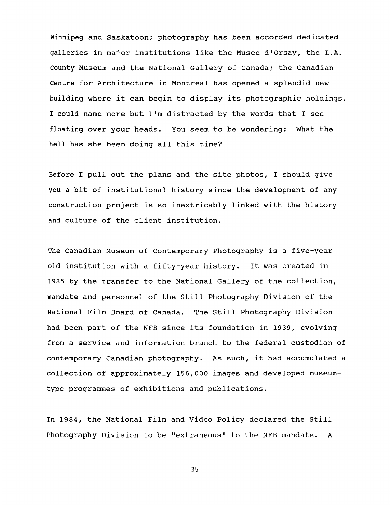Winnipeg and Saskatoon; photography has been accorded dedicated galleries in major institutions like the Musee d'Orsay, the L.A. County Museum and the National Gallery of Canada: the Canadian Centre for Architecture in Montreal has opened a splendid new building where it can begin to display its photographic holdings. I could name more but I'm distracted by the words that I see floating over your heads. You seem to be wondering: What the hell has she been doing all this time?

Before I pull out the plans and the site photos, I should give you a bit of institutional history since the development of any construction project is so inextricably linked with the history and culture of the client institution.

The Canadian Museum of Contemporary Photography is a five-year old institution with a fifty-year history. It was created in **1985** by the transfer to the National Gallery of the collection, mandate and personnel of the Still Photography Division of the National Film Board of Canada. The Still Photography Division had been part of the NFB since its foundation in **1939,** evolving from a service and information branch to the federal custodian of contemporary Canadian photography. As such, it had accumulated a collection of approximately **156,000** images and developed museumtype programmes of exhibitions and publications.

In 1984, the National Film and Video Policy declared the Still Photography Division to be "extraneous" to the NFB mandate. A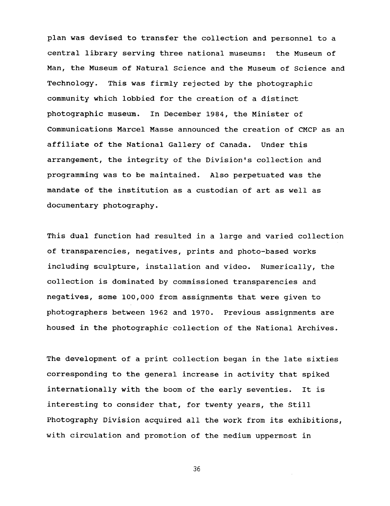plan was devised to transfer the collection and personnel to a central library sewing three national museums: the Museum of Man, the Museum of Natural Science and the Museum of Science and Technology. This was firmly rejected by the photographic community which lobbied for the creation of a distinct photographic museum. In December **1984,** the Minister **of**  Communications Marcel Masse announced the creation of CMCP as an affiliate of the National Gallery of Canada. Under this arrangement, the integrity of the Division's collection and programming was to be maintained. Also perpetuated was the mandate of the institution as a custodian of art as well as documentary photography.

This dual function had resulted in a large and varied collection of transparencies, negatives, prints and photo-based works including sculpture, installation and video. Numerically, the collection is dominated by commissioned transparencies and negatives, some **100,000** from assignments that were given to photographers between **1962** and **1970.** Previous assignments are housed in the photographic collection of the National Archives.

The development of a print collection began in the late sixties corresponding to the general increase in activity that spiked internationally with the boom of the early seventies. It is interesting to consider that, for twenty years, the Still Photography Division acquired all the work from its exhibitions, with circulation and promotion of the medium uppermost in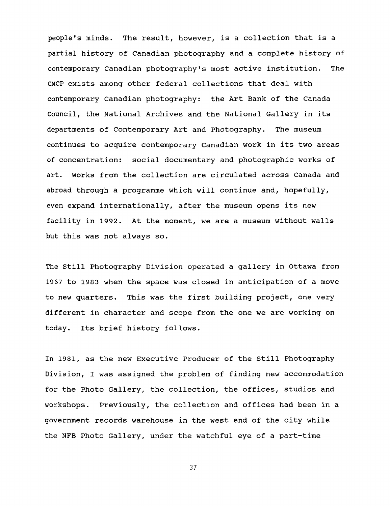people's minds. The result, however, is a collection that is a partial history of Canadian photography and a complete history of contemporary Canadian photography's most active institution. The CMCP exists among other federal collections that deal with contemporary Canadian photography: the Art Bank of the Canada Council, the National Archives and the National Gallery in its departments of Contemporary Art and Photography. The museum continues to acquire contemporary Canadian work in its two areas of concentration: social documentary and photographic works of art. Works from the collection are circulated across Canada and abroad through a programme which will continue and, hopefully, even expand internationally, after the museum opens its new facility in **1992.** At the moment, we are a museum without walls but this was not always so.

The Still Photography Division operated a gallery in Ottawa from 1967 to **1983** when the space was closed in anticipation of a move to new quarters. This was the first building project, one very different in character and scope from the one we are working on today. Its brief history follows.

In **1981,** as the new Executive Producer of the Still Photography Division, I was assigned the problem of finding new accommodation for the Photo Gallery, the collection, the offices, studios and workshops. Previously, the collection and offices had been in a government records warehouse in the west end of the city while the NFB Photo Gallery, under the watchful eye of a part-time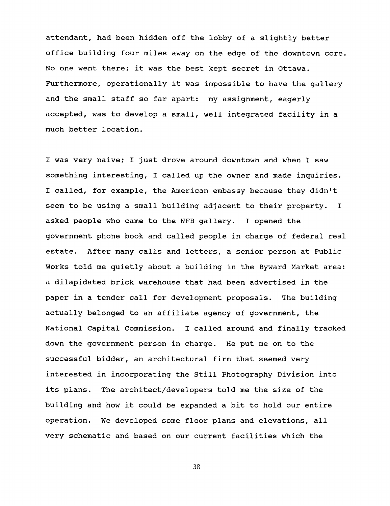attendant, had been hidden off the lobby of a slightly better office building four miles away on the edge of the downtown core. No one went there: it was the best kept secret in Ottawa. Furthermore, operationally it was impossible to have the gallery and the small staff so far apart: my assignment, eagerly accepted, was to develop a small, well integrated facility in a much better location.

I was very naive; I just drove around downtown and when I saw something interesting, I called up the owner and made inquiries. I called, for example, the American embassy because they didn't seem to be using a small building adjacent to their property. I asked people who came to the NFB gallery. I opened the government phone book and called people in charge of federal real estate. After many calls and letters, a senior person at Public Works told me quietly about a building in the Byward Market area: a dilapidated brick warehouse that had been advertised in the paper in a tender call for development proposals. The building actually belonged to an affiliate agency of government, the National Capital Commission. I called around and finally tracked down the government person in charge. He put me on to the successful bidder, an architectural firm that seemed very interested in incorporating the Still Photography Division into its plans. The architect/developers told me the size of the building and how it could be expanded a bit to hold our entire operation. We developed some floor plans and elevations, all very schematic and based on our current facilities which the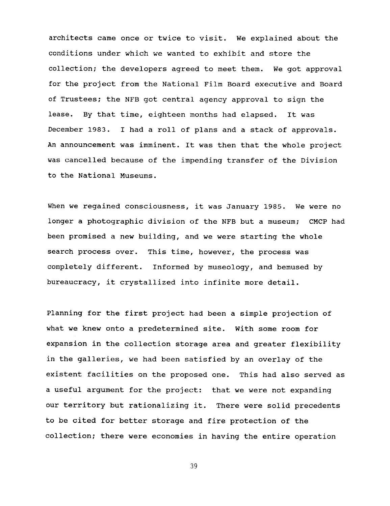architects came once or twice to visit. We explained about the conditions under which we wanted to exhibit and store the collection: the developers agreed to meet them. We got approval for the project from the National Film Board executive and Board of Trustees: the NFB got central agency approval to sign the lease. By that time, eighteen months had elapsed. It was December 1983. I had a roll of plans and a stack of approvals. An announcement was imminent. It was then that the whole project was cancelled because of the impending transfer of the Division to the National Museums.

When we regained consciousness, it was January 1985. We were no longer a photographic division of the NFB but a museum: CMCP had been promised a new building, and we were starting the whole search process over. This time, however, the process was completely different. Informed by museology, and bemused by bureaucracy, it crystallized into infinite more detail.

Planning for the first project had been a simple projection of what we knew onto a predetermined site. With some room for expansion in the collection storage area and greater flexibility in the galleries, we had been satisfied by an overlay of the existent facilities on the proposed one. This had also served as a useful argument for the project: that we were not expanding our territory but rationalizing it. There were solid precedents to be cited for better storage and fire protection of the collection; there were economies in having the entire operation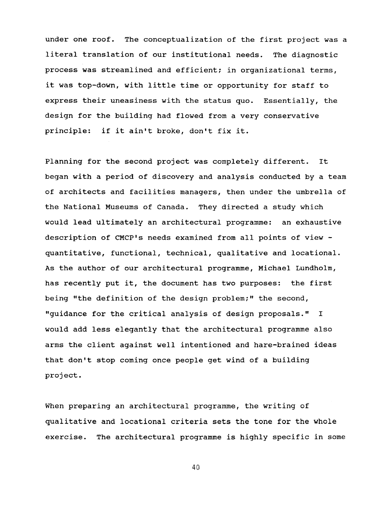under one roof. The conceptualization of the first project was a literal translation of our institutional needs. The diagnostic process was streamlined and efficient; in organizational terms, it was top-down, with little time or opportunity for staff to express their uneasiness with the status quo. Essentially, the design for the building had flowed from a very conservative principle: if it ain't broke, don't fix it.

Planning for the second project was completely different. It began with a period of discovery and analysis conducted by a team of architects and facilities managers, then under the umbrella of the National Museums of Canada. They directed a study which would lead ultimately an architectural programme: an exhaustive description of CMCP's needs examined from all points of view quantitative, functional, technical, qualitative and locational. **As** the author of our architectural programme, Michael Lundholm, has recently put it, the document has two purposes: the first being "the definition of the design problem;" the second, "guidance for the critical analysis of design proposals." I would add less elegantly that the architectural programme also arms the client against well intentioned and hare-brained ideas that don't stop coming once people get wind of a building project .

When preparing an architectural programme, the writing of qualitative and locational criteria sets the tone for the whole exercise. The architectural programme is highly specific in some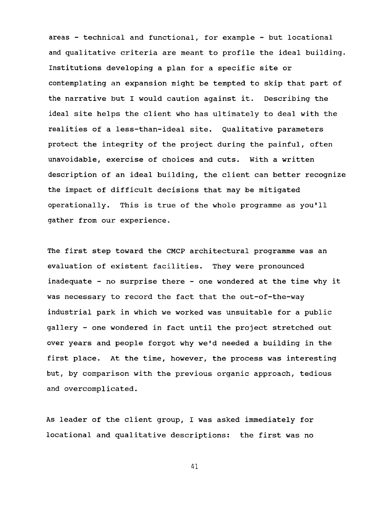areas - technical and functional, for example - but locational and qualitative criteria are meant to profile the ideal building. Institutions developing a plan for a specific site or contemplating an expansion might be tempted to skip that part of the narrative but I would caution against it. Describing the ideal site helps the client who has ultimately to deal with the realities of a less-than-ideal site. Qualitative parameters protect the integrity of the project during the painful, often unavoidable, exercise of choices and cuts. With a written description of an ideal building, the client can better recognize the impact of difficult decisions that may be mitigated operationally. This is true of the whole programme as you'll gather from our experience.

The first step toward the CMCP architectural programme was an evaluation of existent facilities. They were pronounced inadequate - no surprise there - one wondered at the time why it was necessary to record the fact that the out-of-the-way industrial park in which we worked was unsuitable for a public gallery - one wondered in fact until the project stretched out over years and people forgot why weld needed a building in the first place. At the time, however, the process was interesting but, by comparison with the previous organic approach, tedious and overcomplicated.

**As** leader of the client group, I was asked immediately for locational and qualitative descriptions: the first was no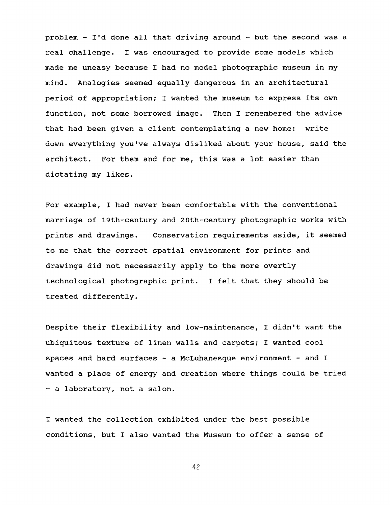problem - I'd done all that driving around - but the second was a real challenge. I was encouraged to provide some models which made me uneasy because I had no model photographic museum in my mind. Analogies seemed equally dangerous in an architectural period of appropriation; I wanted the museum to express its own function, not some borrowed image. Then I remembered the advice that had been given a client contemplating a new home: write down everything you've always disliked about your house, said the architect. For them and for me, this was a lot easier than dictating my likes.

For example, I had never been comfortable with the conventional marriage of 19th-century and 20th-century photographic works with prints and drawings. Conservation requirements aside, it seemed to me that the correct spatial environment for prints and drawings did not necessarily apply to the more overtly technological photographic print. I felt that they should be treated differently.

Despite their flexibility and low-maintenance, I didn't want the ubiquitous texture of linen walls and carpets: I wanted cool spaces and hard surfaces  $-$  a McLuhanesque environment  $-$  and I wanted a place of energy and creation where things could be tried - a laboratory, not a salon.

I wanted the collection exhibited under the best possible conditions, but I also wanted the Museum to offer a sense of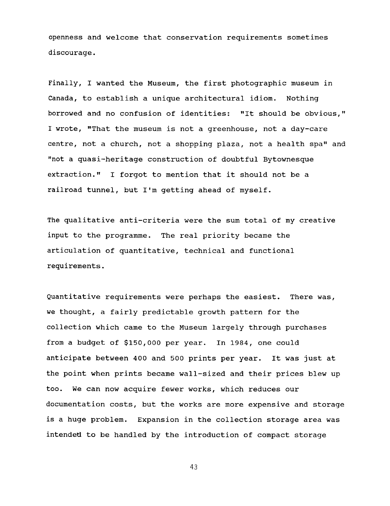openness and welcome that conservation requirements sometimes discourage.

Finally, I wanted the Museum, the first photographic museum in Canada, to establish a unique architectural idiom. Nothing borrowed and no confusion of identities: "It should be obvious," I wrote, "That the museum is not a greenhouse, not a day-care centre, not a church, not a shopping plaza, not a health spa" and #'not a quasi-heritage construction of doubtful Bytownesque extraction." I forgot to mention that it should not be a railroad tunnel, but I'm getting ahead of myself.

The qualitative anti-criteria were the sum total of my creative input to the programme. The real priority became the articulation of quantitative, technical and functional requirements.

Quantitative requirements were perhaps the easiest. There was, we thought, a fairly predictable growth pattern for the collection which came to the Museum largely through purchases from a budget of \$150,000 per year. In 1984, one could anticipate between 400 and 500 prints per year. It was just at the point when prints became wall-sized and their prices blew up too. We can now acquire fewer works, which reduces our documentation costs, but the works are more expensive and storage is a huge problem. Expansion in the collection storage area was intended to be handled by the introduction of compact storage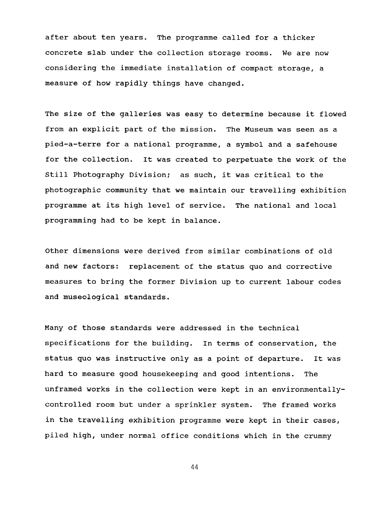after about ten years. The programme called for a thicker concrete slab under the collection storage rooms. We are now considering the immediate installation of compact storage, a measure of how rapidly things have changed.

The size of the galleries was easy to determine because it flowed from an explicit part of the mission. The Museum was seen as a pied-a-terre for a national programme, a symbol and a safehouse for the collection. It was created to perpetuate the work of the Still Photography Division; as such, it was critical to the photographic community that we maintain our travelling exhibition programme at its high level of service. The national and local programming had to be kept in balance.

Other dimensions were derived from similar combinations of old and new factors: replacement of the status quo and corrective measures to bring the former Division up to current labour codes and museological standards.

Many of those standards were addressed in the technical specifications for the building. In terms of conservation, the status quo was instructive only as a point of departure. It was hard to measure good housekeeping and good intentions. The unframed works in the collection were kept in an environmentallycontrolled room but under a sprinkler system. The framed works in the travelling exhibition programme were kept in their cases, piled high, under normal office conditions which in the crummy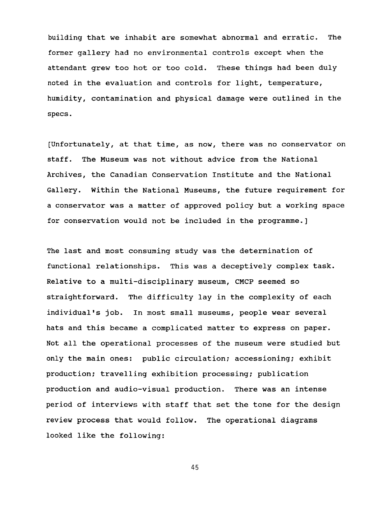building that we inhabit are somewhat abnormal and erratic. The former gallery had no environmental controls except when the attendant grew too hot or too cold. These things had been duly noted in the evaluation and controls for light, temperature, humidity, contamination and physical damage were outlined in the specs.

[Unfortunately, at that time, as now, there was no conservator on staff. The Museum was not without advice from the National Archives, the Canadian Conservation Institute and the National Gallery. Within the National Museums, the future requirement for a conservator was a matter of approved policy but a working space for conservation would not be included in the programme.]

The last and most consuming study was the determination of functional relationships. This was a deceptively complex task. Relative to a multi-disciplinary museum, CMCP seemed so straightforward. The difficulty lay in the complexity of each individual's job. In most small museums, people wear several hats and this became a complicated matter to express on paper. Not all the operational processes of the museum were studied but only the main ones: public circulation; accessioning; exhibit production; travelling exhibition processing; publication production and audio-visual production. There was an intense period of interviews with staff that set the tone for the design review process that would follow. The operational diagrams looked like the following: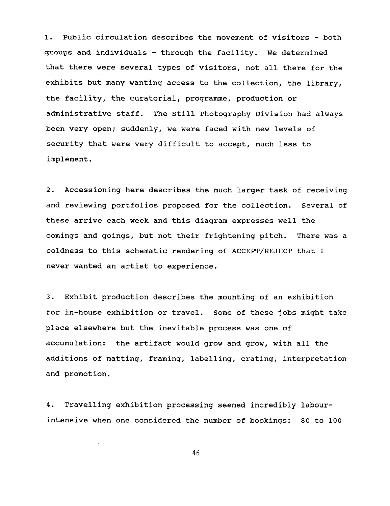1. Public circulation describes the movement of visitors - both **~KOU~S** and individuals - through the facility. We determined that there were several types of visitors, not all there for **the**  exhibits but many wanting access to the collection, the library, the facility, **the** curatorial, programme, production or administrative staff. The Still Photography Division had always been very open; suddenly, we were faced with new levels of security that were very difficult to accept, much less to implement.

2. Accessioning here describes the much larger task of receiving and reviewing portfolios proposed for the collection. Several of these arrive each week and this diagram expresses well the comings and goings, but not their frightening pitch. There was a coldness to this schematic rendering of ACCEPT/REJECT that I never wanted an artist to experience.

**3.** Exhibit production describes the mounting of an exhibition for in-house exhibition or travel. Some of these jobs might take place elsewhere but the inevitable process was one of accumulation: the artifact would grow and grow, with all the additions of matting, framing, labelling, crating, interpretation and promotion.

**4.** Travelling exhibition processing seemed incredibly labourintensive when one considered the number of bookings: 80 to 100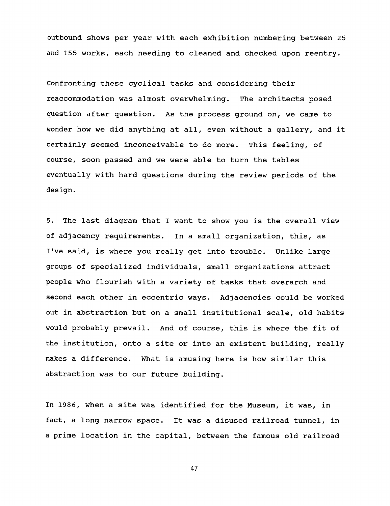outbound shows per year with each exhibition numbering between 25 and 155 works, each needing to cleaned and checked upon reentry.

Confronting these cyclical tasks and considering their reaccommodation was almost overwhelming. The architects posed question after question. As the process ground on, we came to wonder how we did anything at all, even without a gallery, and it certainly seemed inconceivable to do more. This feeling, of course, soon passed and we were able to turn the tables eventually with hard questions during the review periods of the design.

5. The last diagram that I want to show you is the overall view of adjacency requirements. In a small organization, this, as I've said, is where you really get into trouble. Unlike large groups of specialized individuals, small organizations attract people who flourish with a variety of tasks that overarch and second each other in eccentric ways. Adjacencies could be worked out in abstraction but on a small institutional scale, old habits would probably prevail. And of course, this is where the fit of the institution, onto a site or into an existent building, really makes a difference. What is amusing here is how similar this abstraction was to our future building.

In 1986, when a site was identified for the Museum, it was, in fact, a long narrow space. It was a disused railroad tunnel, in a prime location in the capital, between the famous old railroad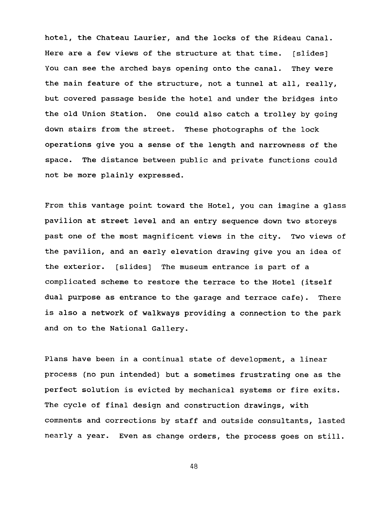hotel, the Chateau Laurier, and the locks of the Rideau Canal. Here are a few views of the structure at that time. [slides] You can see the arched bays opening onto the canal. They were the main feature of the structure, not a tunnel at all, really, but covered passage beside the hotel and under the bridges into the old Union Station. One could also catch a trolley by going down stairs from the street. These photographs of the lock operations give you a sense of the length and narrowness of the space. The distance between public and private functions could not be more plainly expressed.

From this vantage point toward the Hotel, you can imagine a glass pavilion at street level and an entry sequence down two storeys past one of the most magnificent views in the city. Two views of the pavilion, and an early elevation drawing give you an idea of the exterior. [slides] The museum entrance is part of a complicated scheme to restore the terrace to the Hotel (itself dual purpose as entrance to the garage and terrace cafe). There is also a network of walkways providing a connection to the park and on to the National Gallery.

Plans have been in a continual state of development, a linear process (no pun intended) but a sometimes frustrating one as the perfect solution is evicted by mechanical systems or fire exits. The cycle of final design and construction drawings, with comments and corrections by staff and outside consultants, lasted nearly a year. Even as change orders, the process goes on still.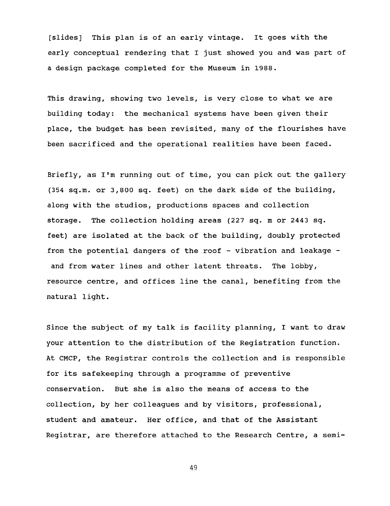[slides] This plan is of an early vintage. It goes with the early conceptual rendering that I just showed you and was part of a design package completed for the Museum in 1988.

This drawing, showing two levels, is very close to what we are building today: the mechanical systems have been given their place, the budget has been revisited, many of the flourishes have been sacrificed and the operational realities have been faced.

Briefly, as I'm running out of time, you can pick out the gallery (354 sq.m. or 3,800 sq. feet) on the dark side of the building, along with the studios, productions spaces and collection storage. The collection holding areas (227 sq. m or **2443** sq. feet) are isolated at the back of the building, doubly protected from the potential dangers of the roof - vibration and leakage and from water lines and other latent threats. The lobby, resource centre, and offices line the canal, benefiting from the natural light.

Since the subject of my talk is facility planning, I want to draw your attention to the distribution of the Registration function. At CMCP, the Registrar controls the collection and is responsible for its safekeeping through a programme of preventive conservation. But she is also the means of access to the collection, by her colleagues and by visitors, professional, student and amateur. Her office, and that of the Assistant Registrar, are therefore attached to the Research Centre, a semi-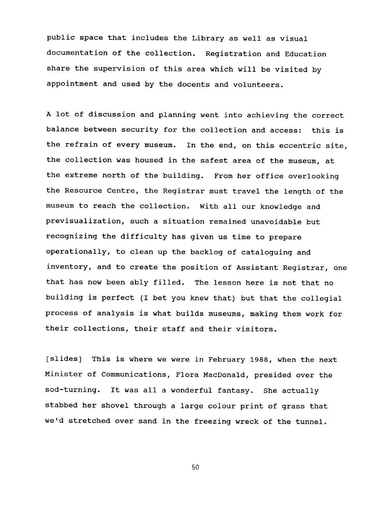public space that includes the Library as well as visual documentation of the collection. Registration and Education share the supervision of this area which will be visited by appointment and used by the docents and volunteers.

A lot of discussion and planning went into achieving the correct balance between security for the collection and access: this is the refrain of every museum. In the end, on this eccentric site, the collection was housed in the safest area of the museum, at the extreme north of the building. From her office overlooking the Resource Centre, the Registrar must travel the length of the museum to reach the collection. With all our knowledge and previsualization, such a situation remained unavoidable but recognizing the difficulty has given us time to prepare operationally, to clean up the backlog of cataloguing and inventory, and to create the position of Assistant Registrar, one that has now been ably filled. The lesson here is not that no building is perfect (I bet you knew that) but that the collegial process of analysis is what builds museums, making them work for their collections, their staff and their visitors.

[slides] This is where we were in February 1988, when the next Minister of Communications, Flora MacDonald, presided over the sod-turning. It was all a wonderful fantasy. She actually stabbed her shovel through a large colour print of grass that we'd stretched over sand in the freezing wreck of the tunnel.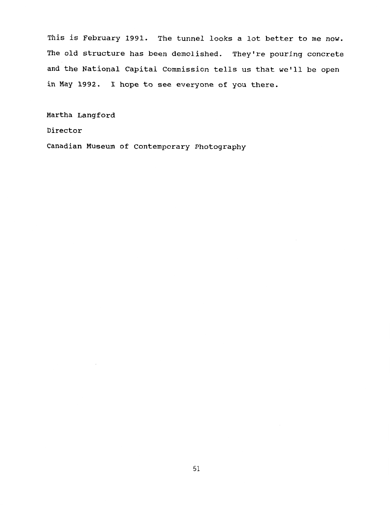**This** *is* **February 1991. The tunnel looks a lot better to me now. The old structure has been demolished. They're pouring concrete and the National Capital Commission tells us that we'll be open in May 1992. I** hope to see everyone of **you** there.

**Martha Langford** 

**Director** 

**Canadian Museum of Contemporary Photography**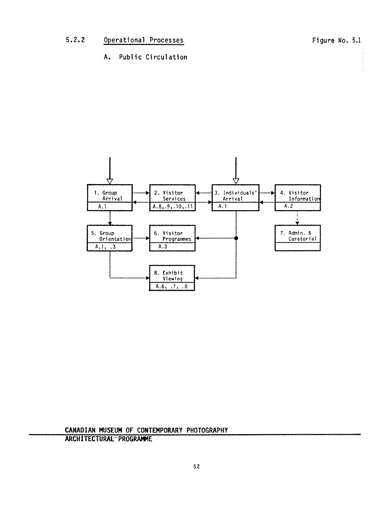**A.** Public Circulation



**CANADIAN MUSEUM OF CONTEMPORARY PHOTOGRAPHY ARCHITECTURAL- PROGME**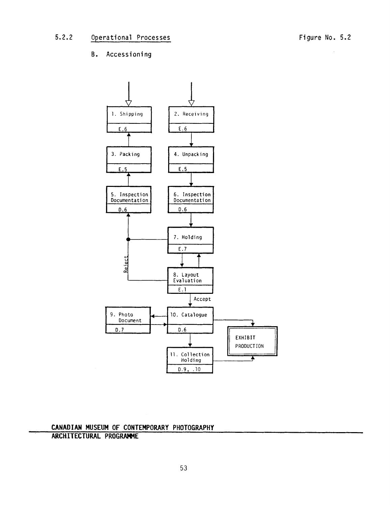## **B.** Accessioning



**CANADIAN MUSEUM OF CONTEMPORARY PHOTOGRAPHY ARCHITECTURAL PROGRAMME**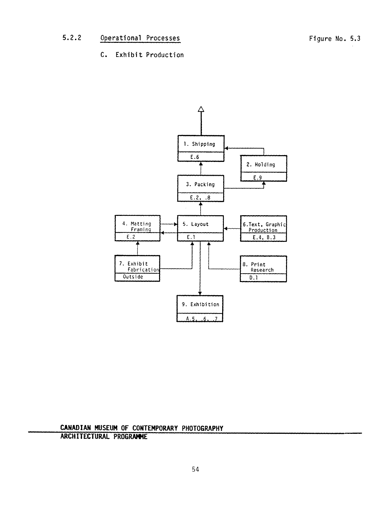C. **Exhibit** Production



**CANADIAN MUSEUM OF CONTEMPORARY PHOTOGRAPHY ARCHITECTURAL PROGRAME**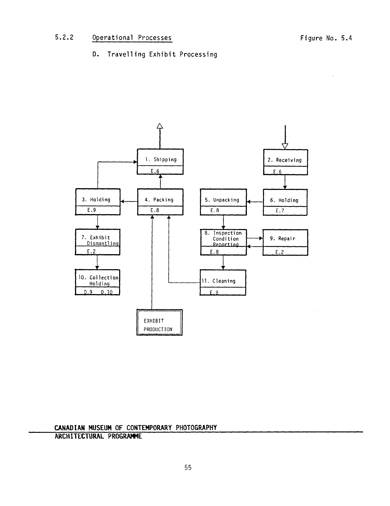#### **5.2.2**  Operational Processes

D. Travelling **Exhibit** Processing



**CANADIAN MUSEUM OF CONTEMPORARY PHOTOGRAPHY** 

**ARCHITECTURAL PROGRAMME**